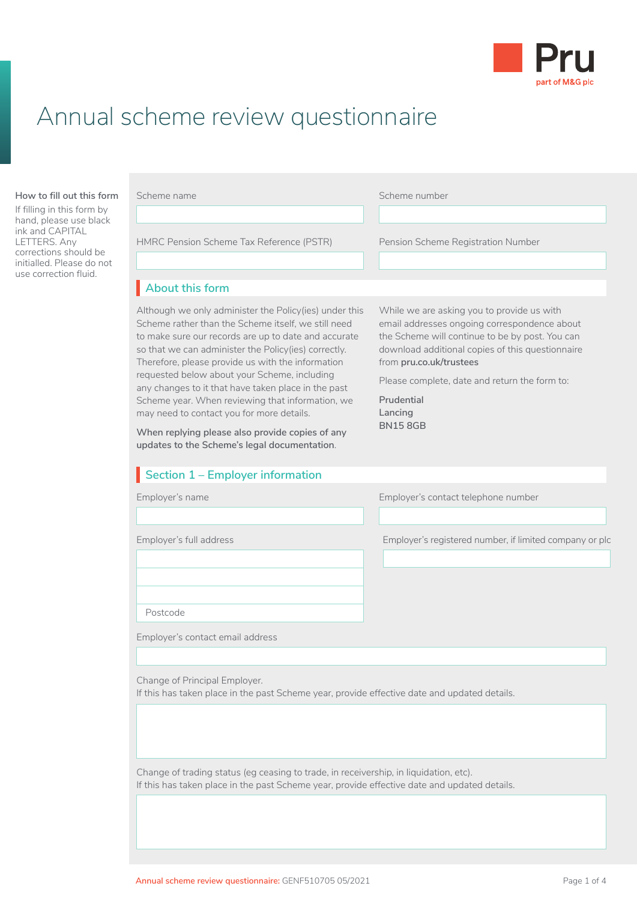

## Annual scheme review questionnaire

#### **How to fill out this form**

If filling in this form by hand, please use black ink and CAPITAL LETTERS. Any corrections should be initialled. Please do not use correction fluid.

|  | Scheme name |
|--|-------------|
|  |             |

Scheme number

HMRC Pension Scheme Tax Reference (PSTR) Pension Scheme Registration Number

## **About this form** I

Although we only administer the Policy(ies) under this Scheme rather than the Scheme itself, we still need to make sure our records are up to date and accurate so that we can administer the Policy(ies) correctly. Therefore, please provide us with the information requested below about your Scheme, including any changes to it that have taken place in the past Scheme year. When reviewing that information, we may need to contact you for more details.

**When replying please also provide copies of any updates to the Scheme's legal documentation**.

## **Section 1 – Employer information**

While we are asking you to provide us with email addresses ongoing correspondence about the Scheme will continue to be by post. You can download additional copies of this questionnaire from **[pru.co.uk/trustees](https://www.pru.co.uk/trustees/)**

Please complete, date and return the form to:

**Prudential Lancing BN15 8GB**

Employer's name Employer's contact telephone number

Employer's full address Employer's registered number, if limited company or plc

Postcode

Employer's contact email address

Change of Principal Employer.

If this has taken place in the past Scheme year, provide effective date and updated details.

Change of trading status (eg ceasing to trade, in receivership, in liquidation, etc). If this has taken place in the past Scheme year, provide effective date and updated details.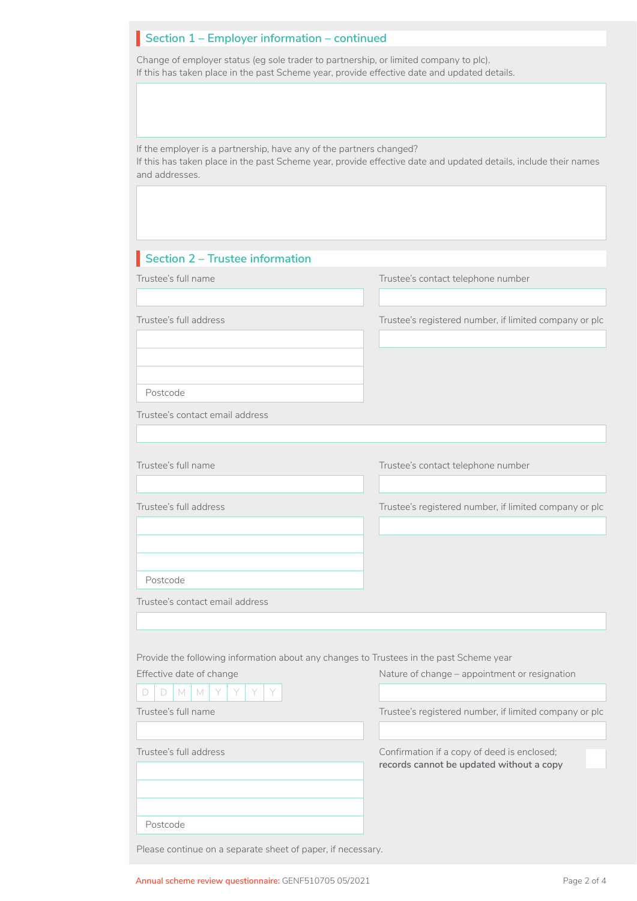## **Section 1 – Employer information – continued**

Change of employer status (eg sole trader to partnership, or limited company to plc). If this has taken place in the past Scheme year, provide effective date and updated details.

If the employer is a partnership, have any of the partners changed? If this has taken place in the past Scheme year, provide effective date and updated details, include their names and addresses.

| Section 2 - Trustee information                                                         |                                                                                         |
|-----------------------------------------------------------------------------------------|-----------------------------------------------------------------------------------------|
| Trustee's full name                                                                     | Trustee's contact telephone number                                                      |
|                                                                                         |                                                                                         |
| Trustee's full address                                                                  | Trustee's registered number, if limited company or plc                                  |
|                                                                                         |                                                                                         |
|                                                                                         |                                                                                         |
| Postcode                                                                                |                                                                                         |
| Trustee's contact email address                                                         |                                                                                         |
|                                                                                         |                                                                                         |
| Trustee's full name                                                                     | Trustee's contact telephone number                                                      |
|                                                                                         |                                                                                         |
| Trustee's full address                                                                  | Trustee's registered number, if limited company or plc                                  |
|                                                                                         |                                                                                         |
|                                                                                         |                                                                                         |
| Postcode                                                                                |                                                                                         |
| Trustee's contact email address                                                         |                                                                                         |
|                                                                                         |                                                                                         |
| Provide the following information about any changes to Trustees in the past Scheme year |                                                                                         |
| Effective date of change                                                                | Nature of change - appointment or resignation                                           |
| D M M Y<br>Y<br>Y<br>Y                                                                  |                                                                                         |
| Trustee's full name                                                                     | Trustee's registered number, if limited company or plc                                  |
|                                                                                         |                                                                                         |
| Trustee's full address                                                                  | Confirmation if a copy of deed is enclosed;<br>records cannot be updated without a copy |
|                                                                                         |                                                                                         |
|                                                                                         |                                                                                         |
| Postcode                                                                                |                                                                                         |
| Please continue on a separate sheet of paper, if necessary.                             |                                                                                         |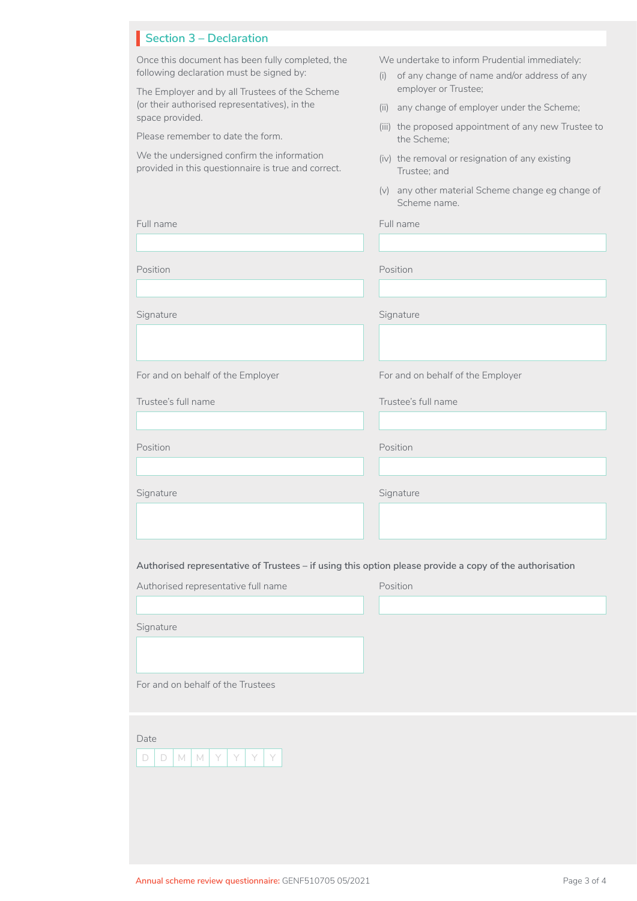| <b>Section 3 - Declaration</b>                                                                                                                                                                                                                          |                                                                                                                                                                                                                                          |
|---------------------------------------------------------------------------------------------------------------------------------------------------------------------------------------------------------------------------------------------------------|------------------------------------------------------------------------------------------------------------------------------------------------------------------------------------------------------------------------------------------|
| Once this document has been fully completed, the<br>following declaration must be signed by:<br>The Employer and by all Trustees of the Scheme<br>(or their authorised representatives), in the<br>space provided.<br>Please remember to date the form. | We undertake to inform Prudential immediately:<br>of any change of name and/or address of any<br>(i)<br>employer or Trustee;<br>any change of employer under the Scheme;<br>(ii)<br>(iii) the proposed appointment of any new Trustee to |
| We the undersigned confirm the information<br>provided in this questionnaire is true and correct.                                                                                                                                                       | the Scheme:<br>(iv) the removal or resignation of any existing<br>Trustee: and<br>any other material Scheme change eg change of<br>(v)                                                                                                   |
| Full name                                                                                                                                                                                                                                               | Scheme name.<br>Full name                                                                                                                                                                                                                |

| Position                                                                                                | Position                          |
|---------------------------------------------------------------------------------------------------------|-----------------------------------|
|                                                                                                         |                                   |
| Signature                                                                                               | Signature                         |
|                                                                                                         |                                   |
| For and on behalf of the Employer                                                                       | For and on behalf of the Employer |
| Trustee's full name                                                                                     | Trustee's full name               |
|                                                                                                         |                                   |
| Position                                                                                                | Position                          |
|                                                                                                         |                                   |
| Signature                                                                                               | Signature                         |
|                                                                                                         |                                   |
|                                                                                                         |                                   |
| Authorised representative of Trustees – if using this option please provide a copy of the authorisation |                                   |
| Authorised representative full name                                                                     | Position                          |
|                                                                                                         |                                   |
| Signature                                                                                               |                                   |
|                                                                                                         |                                   |
| For and on behalf of the Trustees                                                                       |                                   |
|                                                                                                         |                                   |
| Date                                                                                                    |                                   |